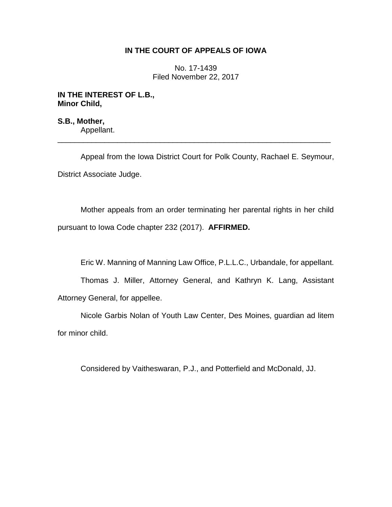## **IN THE COURT OF APPEALS OF IOWA**

No. 17-1439 Filed November 22, 2017

## **IN THE INTEREST OF L.B., Minor Child,**

**S.B., Mother,** Appellant. \_\_\_\_\_\_\_\_\_\_\_\_\_\_\_\_\_\_\_\_\_\_\_\_\_\_\_\_\_\_\_\_\_\_\_\_\_\_\_\_\_\_\_\_\_\_\_\_\_\_\_\_\_\_\_\_\_\_\_\_\_\_\_\_

Appeal from the Iowa District Court for Polk County, Rachael E. Seymour, District Associate Judge.

Mother appeals from an order terminating her parental rights in her child pursuant to Iowa Code chapter 232 (2017). **AFFIRMED.**

Eric W. Manning of Manning Law Office, P.L.L.C., Urbandale, for appellant.

Thomas J. Miller, Attorney General, and Kathryn K. Lang, Assistant Attorney General, for appellee.

Nicole Garbis Nolan of Youth Law Center, Des Moines, guardian ad litem for minor child.

Considered by Vaitheswaran, P.J., and Potterfield and McDonald, JJ.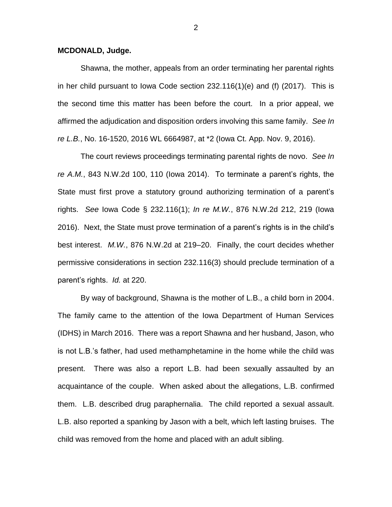## **MCDONALD, Judge.**

Shawna, the mother, appeals from an order terminating her parental rights in her child pursuant to Iowa Code section 232.116(1)(e) and (f) (2017). This is the second time this matter has been before the court. In a prior appeal, we affirmed the adjudication and disposition orders involving this same family. *See In re L.B.*, No. 16-1520, 2016 WL 6664987, at \*2 (Iowa Ct. App. Nov. 9, 2016).

The court reviews proceedings terminating parental rights de novo. *See In re A.M.*, 843 N.W.2d 100, 110 (Iowa 2014). To terminate a parent's rights, the State must first prove a statutory ground authorizing termination of a parent's rights. *See* Iowa Code § 232.116(1); *In re M.W.*, 876 N.W.2d 212, 219 (Iowa 2016). Next, the State must prove termination of a parent's rights is in the child's best interest. *M.W.*, 876 N.W.2d at 219–20. Finally, the court decides whether permissive considerations in section 232.116(3) should preclude termination of a parent's rights. *Id.* at 220.

By way of background, Shawna is the mother of L.B., a child born in 2004. The family came to the attention of the Iowa Department of Human Services (IDHS) in March 2016. There was a report Shawna and her husband, Jason, who is not L.B.'s father, had used methamphetamine in the home while the child was present. There was also a report L.B. had been sexually assaulted by an acquaintance of the couple. When asked about the allegations, L.B. confirmed them. L.B. described drug paraphernalia. The child reported a sexual assault. L.B. also reported a spanking by Jason with a belt, which left lasting bruises. The child was removed from the home and placed with an adult sibling.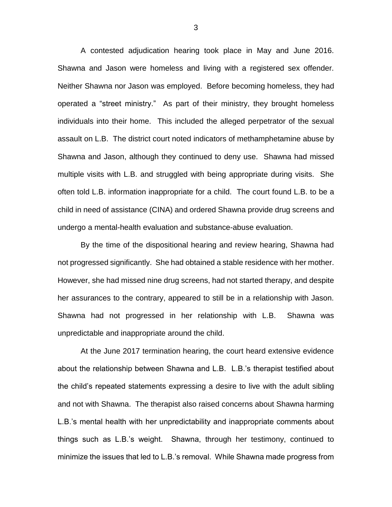A contested adjudication hearing took place in May and June 2016. Shawna and Jason were homeless and living with a registered sex offender. Neither Shawna nor Jason was employed. Before becoming homeless, they had operated a "street ministry." As part of their ministry, they brought homeless individuals into their home. This included the alleged perpetrator of the sexual assault on L.B. The district court noted indicators of methamphetamine abuse by Shawna and Jason, although they continued to deny use. Shawna had missed multiple visits with L.B. and struggled with being appropriate during visits. She often told L.B. information inappropriate for a child. The court found L.B. to be a child in need of assistance (CINA) and ordered Shawna provide drug screens and undergo a mental-health evaluation and substance-abuse evaluation.

By the time of the dispositional hearing and review hearing, Shawna had not progressed significantly. She had obtained a stable residence with her mother. However, she had missed nine drug screens, had not started therapy, and despite her assurances to the contrary, appeared to still be in a relationship with Jason. Shawna had not progressed in her relationship with L.B. Shawna was unpredictable and inappropriate around the child.

At the June 2017 termination hearing, the court heard extensive evidence about the relationship between Shawna and L.B. L.B.'s therapist testified about the child's repeated statements expressing a desire to live with the adult sibling and not with Shawna. The therapist also raised concerns about Shawna harming L.B.'s mental health with her unpredictability and inappropriate comments about things such as L.B.'s weight. Shawna, through her testimony, continued to minimize the issues that led to L.B.'s removal. While Shawna made progress from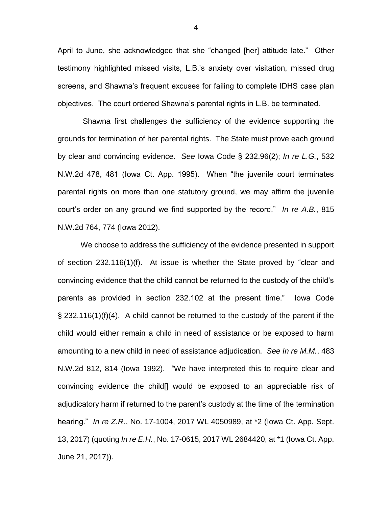April to June, she acknowledged that she "changed [her] attitude late." Other testimony highlighted missed visits, L.B.'s anxiety over visitation, missed drug screens, and Shawna's frequent excuses for failing to complete IDHS case plan objectives. The court ordered Shawna's parental rights in L.B. be terminated.

Shawna first challenges the sufficiency of the evidence supporting the grounds for termination of her parental rights. The State must prove each ground by clear and convincing evidence. *See* Iowa Code § 232.96(2); *In re L.G.*, 532 N.W.2d 478, 481 (Iowa Ct. App. 1995). When "the juvenile court terminates parental rights on more than one statutory ground, we may affirm the juvenile court's order on any ground we find supported by the record." *In re A.B.*, 815 N.W.2d 764, 774 (Iowa 2012).

We choose to address the sufficiency of the evidence presented in support of section 232.116(1)(f). At issue is whether the State proved by "clear and convincing evidence that the child cannot be returned to the custody of the child's parents as provided in section 232.102 at the present time." Iowa Code  $\S$  232.116(1)(f)(4). A child cannot be returned to the custody of the parent if the child would either remain a child in need of assistance or be exposed to harm amounting to a new child in need of assistance adjudication. *See In re M.M.*, 483 N.W.2d 812, 814 (Iowa 1992). "We have interpreted this to require clear and convincing evidence the child[] would be exposed to an appreciable risk of adjudicatory harm if returned to the parent's custody at the time of the termination hearing." *In re Z.R.*, No. 17-1004, 2017 WL 4050989, at \*2 (Iowa Ct. App. Sept. 13, 2017) (quoting *In re E.H.*, No. 17-0615, 2017 WL 2684420, at \*1 (Iowa Ct. App. June 21, 2017)).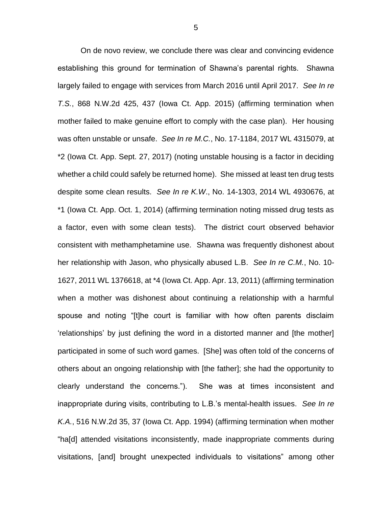On de novo review, we conclude there was clear and convincing evidence establishing this ground for termination of Shawna's parental rights. Shawna largely failed to engage with services from March 2016 until April 2017. *See In re T.S.*, 868 N.W.2d 425, 437 (Iowa Ct. App. 2015) (affirming termination when mother failed to make genuine effort to comply with the case plan). Her housing was often unstable or unsafe. *See In re M.C.*, No. 17-1184, 2017 WL 4315079, at \*2 (Iowa Ct. App. Sept. 27, 2017) (noting unstable housing is a factor in deciding whether a child could safely be returned home). She missed at least ten drug tests despite some clean results. *See In re K.W*., No. 14-1303, 2014 WL 4930676, at \*1 (Iowa Ct. App. Oct. 1, 2014) (affirming termination noting missed drug tests as a factor, even with some clean tests). The district court observed behavior consistent with methamphetamine use. Shawna was frequently dishonest about her relationship with Jason, who physically abused L.B. *See In re C.M.*, No. 10- 1627, 2011 WL 1376618, at \*4 (Iowa Ct. App. Apr. 13, 2011) (affirming termination when a mother was dishonest about continuing a relationship with a harmful spouse and noting "[t]he court is familiar with how often parents disclaim 'relationships' by just defining the word in a distorted manner and [the mother] participated in some of such word games. [She] was often told of the concerns of others about an ongoing relationship with [the father]; she had the opportunity to clearly understand the concerns."). She was at times inconsistent and inappropriate during visits, contributing to L.B.'s mental-health issues. *See In re K.A.*, 516 N.W.2d 35, 37 (Iowa Ct. App. 1994) (affirming termination when mother "ha[d] attended visitations inconsistently, made inappropriate comments during visitations, [and] brought unexpected individuals to visitations" among other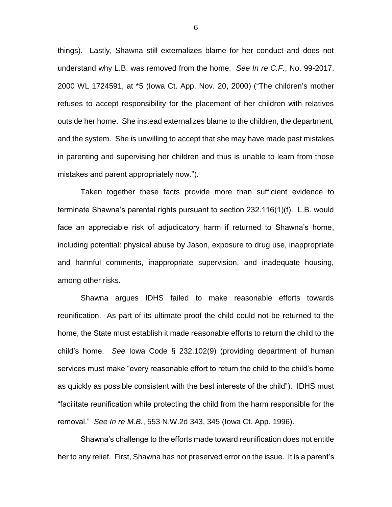things). Lastly, Shawna still externalizes blame for her conduct and does not understand why L.B. was removed from the home. *See In re C.F.*, No. 99-2017, 2000 WL 1724591, at \*5 (Iowa Ct. App. Nov. 20, 2000) ("The children's mother refuses to accept responsibility for the placement of her children with relatives outside her home. She instead externalizes blame to the children, the department, and the system. She is unwilling to accept that she may have made past mistakes in parenting and supervising her children and thus is unable to learn from those mistakes and parent appropriately now.").

Taken together these facts provide more than sufficient evidence to terminate Shawna's parental rights pursuant to section 232.116(1)(f). L.B. would face an appreciable risk of adjudicatory harm if returned to Shawna's home, including potential: physical abuse by Jason, exposure to drug use, inappropriate and harmful comments, inappropriate supervision, and inadequate housing, among other risks.

Shawna argues IDHS failed to make reasonable efforts towards reunification. As part of its ultimate proof the child could not be returned to the home, the State must establish it made reasonable efforts to return the child to the child's home. *See* Iowa Code § 232.102(9) (providing department of human services must make "every reasonable effort to return the child to the child's home as quickly as possible consistent with the best interests of the child"). IDHS must "facilitate reunification while protecting the child from the harm responsible for the removal." *See In re M.B.*, 553 N.W.2d 343, 345 (Iowa Ct. App. 1996).

Shawna's challenge to the efforts made toward reunification does not entitle her to any relief. First, Shawna has not preserved error on the issue. It is a parent's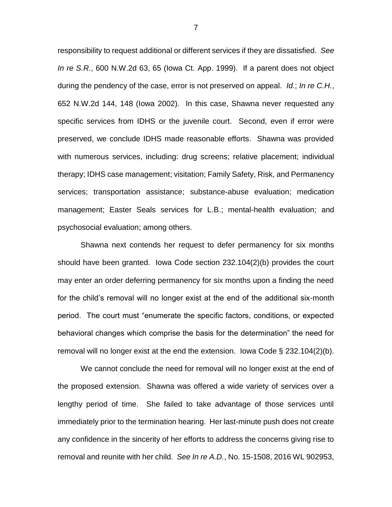responsibility to request additional or different services if they are dissatisfied. *See In re S.R.*, 600 N.W.2d 63, 65 (Iowa Ct. App. 1999). If a parent does not object during the pendency of the case, error is not preserved on appeal. *Id.*; *In re C.H.*, 652 N.W.2d 144, 148 (Iowa 2002). In this case, Shawna never requested any specific services from IDHS or the juvenile court. Second, even if error were preserved, we conclude IDHS made reasonable efforts. Shawna was provided with numerous services, including: drug screens; relative placement; individual therapy; IDHS case management; visitation; Family Safety, Risk, and Permanency services; transportation assistance; substance-abuse evaluation; medication management; Easter Seals services for L.B.; mental-health evaluation; and psychosocial evaluation; among others.

Shawna next contends her request to defer permanency for six months should have been granted. Iowa Code section 232.104(2)(b) provides the court may enter an order deferring permanency for six months upon a finding the need for the child's removal will no longer exist at the end of the additional six-month period. The court must "enumerate the specific factors, conditions, or expected behavioral changes which comprise the basis for the determination" the need for removal will no longer exist at the end the extension. Iowa Code § 232.104(2)(b).

We cannot conclude the need for removal will no longer exist at the end of the proposed extension. Shawna was offered a wide variety of services over a lengthy period of time. She failed to take advantage of those services until immediately prior to the termination hearing. Her last-minute push does not create any confidence in the sincerity of her efforts to address the concerns giving rise to removal and reunite with her child. *See In re A.D.*, No. 15-1508, 2016 WL 902953,